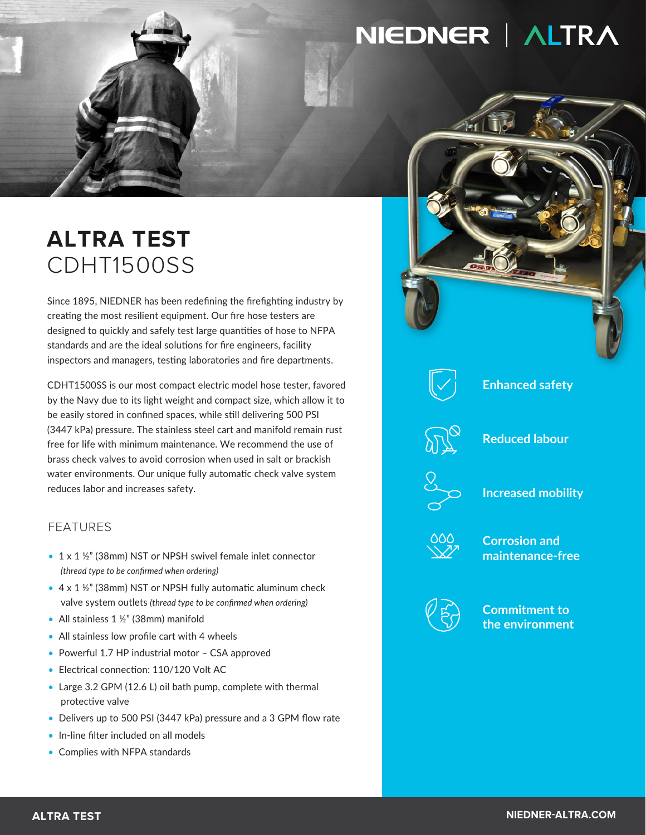# NIEDNER | ALTRA

## **ALTRA TEST** CDHT1500SS

Since 1895, NIEDNER has been redefining the firefighting industry by creating the most resilient equipment. Our fire hose testers are designed to quickly and safely test large quantities of hose to NFPA standards and are the ideal solutions for fire engineers, facility inspectors and managers, testing laboratories and fire departments.

CDHT1500SS is our most compact electric model hose tester, favored by the Navy due to its light weight and compact size, which allow it to be easily stored in confined spaces, while still delivering 500 PSI (3447 kPa) pressure. The stainless steel cart and manifold remain rust free for life with minimum maintenance. We recommend the use of brass check valves to avoid corrosion when used in salt or brackish water environments. Our unique fully automatic check valve system reduces labor and increases safety.

### FEATURES

- 1 x 1 ½" (38mm) NST or NPSH swivel female inlet connector *(thread type to be confirmed when ordering)*
- $\bullet$  4 x 1  $\frac{1}{2}$ " (38mm) NST or NPSH fully automatic aluminum check valve system outlets *(thread type to be confirmed when ordering)*
- All stainless 1 1/2" (38mm) manifold
- All stainless low profile cart with 4 wheels
- Powerful 1.7 HP industrial motor CSA approved
- Electrical connection: 110/120 Volt AC
- Large 3.2 GPM (12.6 L) oil bath pump, complete with thermal protective valve
- Delivers up to 500 PSI (3447 kPa) pressure and a 3 GPM flow rate
- In-line filter included on all models
- Complies with NFPA standards



#### **Enhanced safety**

**Reduced labour**



**Increased mobility**



**Corrosion and maintenance-free**



**Commitment to the environment**